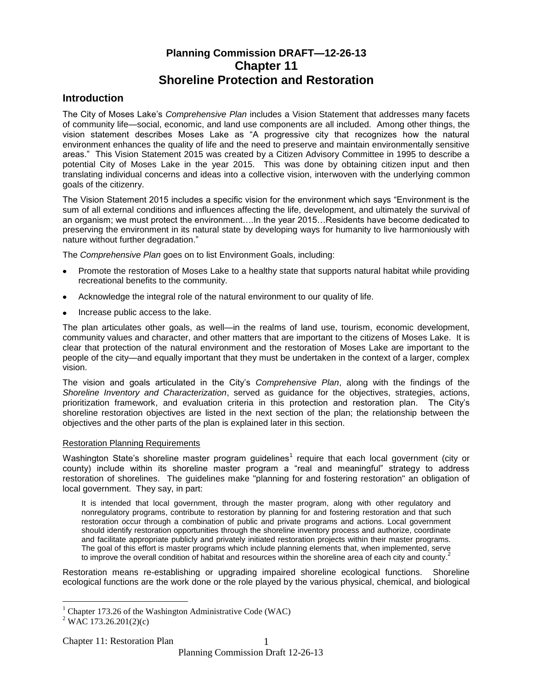# **Planning Commission DRAFT—12-26-13 Chapter 11 Shoreline Protection and Restoration**

## **Introduction**

The City of Moses Lake's *Comprehensive Plan* includes a Vision Statement that addresses many facets of community life—social, economic, and land use components are all included. Among other things, the vision statement describes Moses Lake as "A progressive city that recognizes how the natural environment enhances the quality of life and the need to preserve and maintain environmentally sensitive areas." This Vision Statement 2015 was created by a Citizen Advisory Committee in 1995 to describe a potential City of Moses Lake in the year 2015. This was done by obtaining citizen input and then translating individual concerns and ideas into a collective vision, interwoven with the underlying common goals of the citizenry.

The Vision Statement 2015 includes a specific vision for the environment which says "Environment is the sum of all external conditions and influences affecting the life, development, and ultimately the survival of an organism; we must protect the environment….In the year 2015…Residents have become dedicated to preserving the environment in its natural state by developing ways for humanity to live harmoniously with nature without further degradation."

The *Comprehensive Plan* goes on to list Environment Goals, including:

- Promote the restoration of Moses Lake to a healthy state that supports natural habitat while providing recreational benefits to the community.
- Acknowledge the integral role of the natural environment to our quality of life.
- Increase public access to the lake.

The plan articulates other goals, as well—in the realms of land use, tourism, economic development, community values and character, and other matters that are important to the citizens of Moses Lake. It is clear that protection of the natural environment and the restoration of Moses Lake are important to the people of the city—and equally important that they must be undertaken in the context of a larger, complex vision.

The vision and goals articulated in the City's *Comprehensive Plan*, along with the findings of the *Shoreline Inventory and Characterization*, served as guidance for the objectives, strategies, actions, prioritization framework, and evaluation criteria in this protection and restoration plan. The City's shoreline restoration objectives are listed in the next section of the plan; the relationship between the objectives and the other parts of the plan is explained later in this section.

#### Restoration Planning Requirements

Washington State's shoreline master program guidelines<sup>1</sup> require that each local government (city or county) include within its shoreline master program a "real and meaningful" strategy to address restoration of shorelines. The guidelines make "planning for and fostering restoration" an obligation of local government. They say, in part:

It is intended that local government, through the master program, along with other regulatory and nonregulatory programs, contribute to restoration by planning for and fostering restoration and that such restoration occur through a combination of public and private programs and actions. Local government should identify restoration opportunities through the shoreline inventory process and authorize, coordinate and facilitate appropriate publicly and privately initiated restoration projects within their master programs. The goal of this effort is master programs which include planning elements that, when implemented, serve to improve the overall condition of habitat and resources within the shoreline area of each city and county.<sup>2</sup>

Restoration means re-establishing or upgrading impaired shoreline ecological functions. Shoreline ecological functions are the work done or the role played by the various physical, chemical, and biological

 $\overline{a}$ 

 $1$  Chapter 173.26 of the Washington Administrative Code (WAC)

 $2$  WAC 173.26.201(2)(c)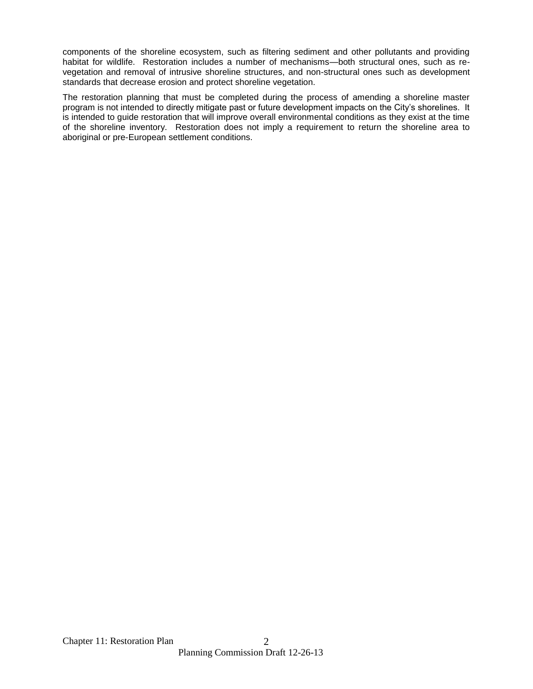components of the shoreline ecosystem, such as filtering sediment and other pollutants and providing habitat for wildlife. Restoration includes a number of mechanisms—both structural ones, such as revegetation and removal of intrusive shoreline structures, and non-structural ones such as development standards that decrease erosion and protect shoreline vegetation.

The restoration planning that must be completed during the process of amending a shoreline master program is not intended to directly mitigate past or future development impacts on the City's shorelines. It is intended to guide restoration that will improve overall environmental conditions as they exist at the time of the shoreline inventory. Restoration does not imply a requirement to return the shoreline area to aboriginal or pre-European settlement conditions.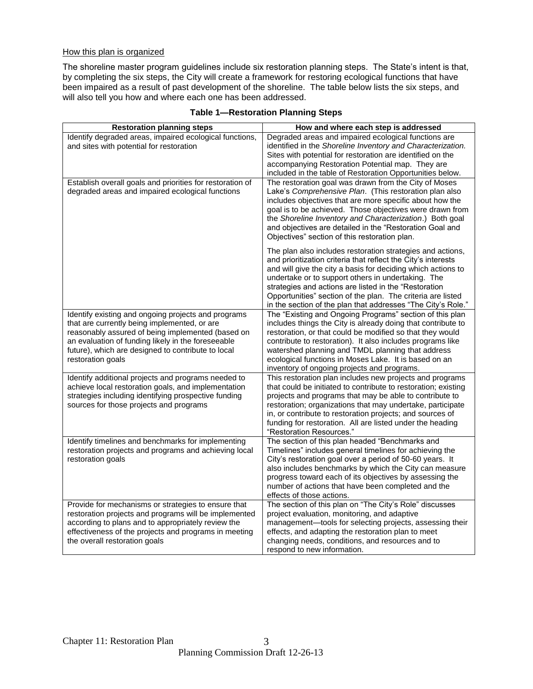#### How this plan is organized

The shoreline master program guidelines include six restoration planning steps. The State's intent is that, by completing the six steps, the City will create a framework for restoring ecological functions that have been impaired as a result of past development of the shoreline. The table below lists the six steps, and will also tell you how and where each one has been addressed.

| <b>Restoration planning steps</b>                                                                                                                                                                                                                                                         | How and where each step is addressed                                                                                                                                                                                                                                                                                                                                                                                                       |
|-------------------------------------------------------------------------------------------------------------------------------------------------------------------------------------------------------------------------------------------------------------------------------------------|--------------------------------------------------------------------------------------------------------------------------------------------------------------------------------------------------------------------------------------------------------------------------------------------------------------------------------------------------------------------------------------------------------------------------------------------|
| Identify degraded areas, impaired ecological functions,<br>and sites with potential for restoration<br>Establish overall goals and priorities for restoration of                                                                                                                          | Degraded areas and impaired ecological functions are<br>identified in the Shoreline Inventory and Characterization.<br>Sites with potential for restoration are identified on the<br>accompanying Restoration Potential map. They are<br>included in the table of Restoration Opportunities below.<br>The restoration goal was drawn from the City of Moses                                                                                |
| degraded areas and impaired ecological functions                                                                                                                                                                                                                                          | Lake's Comprehensive Plan. (This restoration plan also<br>includes objectives that are more specific about how the<br>goal is to be achieved. Those objectives were drawn from<br>the Shoreline Inventory and Characterization.) Both goal<br>and objectives are detailed in the "Restoration Goal and<br>Objectives" section of this restoration plan.                                                                                    |
|                                                                                                                                                                                                                                                                                           | The plan also includes restoration strategies and actions,<br>and prioritization criteria that reflect the City's interests<br>and will give the city a basis for deciding which actions to<br>undertake or to support others in undertaking. The<br>strategies and actions are listed in the "Restoration"<br>Opportunities" section of the plan. The criteria are listed<br>in the section of the plan that addresses "The City's Role." |
| Identify existing and ongoing projects and programs<br>that are currently being implemented, or are<br>reasonably assured of being implemented (based on<br>an evaluation of funding likely in the foreseeable<br>future), which are designed to contribute to local<br>restoration goals | The "Existing and Ongoing Programs" section of this plan<br>includes things the City is already doing that contribute to<br>restoration, or that could be modified so that they would<br>contribute to restoration). It also includes programs like<br>watershed planning and TMDL planning that address<br>ecological functions in Moses Lake. It is based on an<br>inventory of ongoing projects and programs.                           |
| Identify additional projects and programs needed to<br>achieve local restoration goals, and implementation<br>strategies including identifying prospective funding<br>sources for those projects and programs                                                                             | This restoration plan includes new projects and programs<br>that could be initiated to contribute to restoration; existing<br>projects and programs that may be able to contribute to<br>restoration; organizations that may undertake, participate<br>in, or contribute to restoration projects; and sources of<br>funding for restoration. All are listed under the heading<br>"Restoration Resources."                                  |
| Identify timelines and benchmarks for implementing<br>restoration projects and programs and achieving local<br>restoration goals                                                                                                                                                          | The section of this plan headed "Benchmarks and<br>Timelines" includes general timelines for achieving the<br>City's restoration goal over a period of 50-60 years. It<br>also includes benchmarks by which the City can measure<br>progress toward each of its objectives by assessing the<br>number of actions that have been completed and the<br>effects of those actions.                                                             |
| Provide for mechanisms or strategies to ensure that<br>restoration projects and programs will be implemented<br>according to plans and to appropriately review the<br>effectiveness of the projects and programs in meeting<br>the overall restoration goals                              | The section of this plan on "The City's Role" discusses<br>project evaluation, monitoring, and adaptive<br>management-tools for selecting projects, assessing their<br>effects, and adapting the restoration plan to meet<br>changing needs, conditions, and resources and to<br>respond to new information.                                                                                                                               |

## **Table 1—Restoration Planning Steps**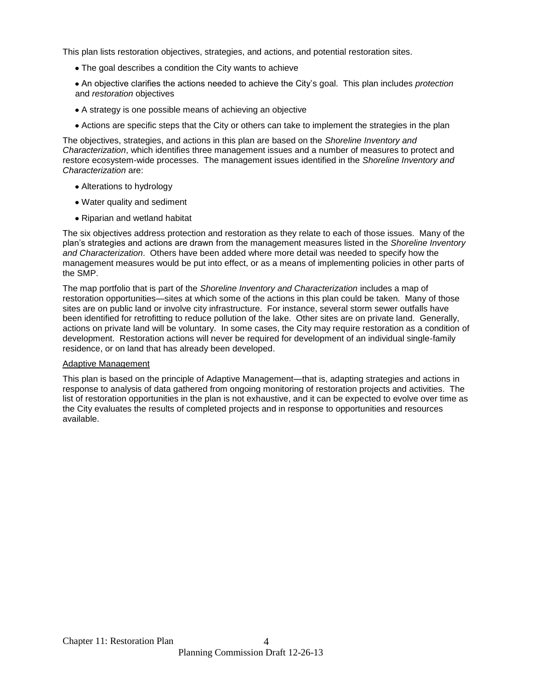This plan lists restoration objectives, strategies, and actions, and potential restoration sites.

- The goal describes a condition the City wants to achieve
- An objective clarifies the actions needed to achieve the City's goal. This plan includes *protection* and *restoration* objectives
- A strategy is one possible means of achieving an objective
- Actions are specific steps that the City or others can take to implement the strategies in the plan

The objectives, strategies, and actions in this plan are based on the *Shoreline Inventory and Characterization*, which identifies three management issues and a number of measures to protect and restore ecosystem-wide processes. The management issues identified in the *Shoreline Inventory and Characterization* are:

- Alterations to hydrology
- Water quality and sediment
- Riparian and wetland habitat

The six objectives address protection and restoration as they relate to each of those issues. Many of the plan's strategies and actions are drawn from the management measures listed in the *Shoreline Inventory and Characterization*. Others have been added where more detail was needed to specify how the management measures would be put into effect, or as a means of implementing policies in other parts of the SMP.

The map portfolio that is part of the *Shoreline Inventory and Characterization* includes a map of restoration opportunities—sites at which some of the actions in this plan could be taken. Many of those sites are on public land or involve city infrastructure. For instance, several storm sewer outfalls have been identified for retrofitting to reduce pollution of the lake. Other sites are on private land. Generally, actions on private land will be voluntary. In some cases, the City may require restoration as a condition of development. Restoration actions will never be required for development of an individual single-family residence, or on land that has already been developed.

#### Adaptive Management

This plan is based on the principle of Adaptive Management—that is, adapting strategies and actions in response to analysis of data gathered from ongoing monitoring of restoration projects and activities. The list of restoration opportunities in the plan is not exhaustive, and it can be expected to evolve over time as the City evaluates the results of completed projects and in response to opportunities and resources available.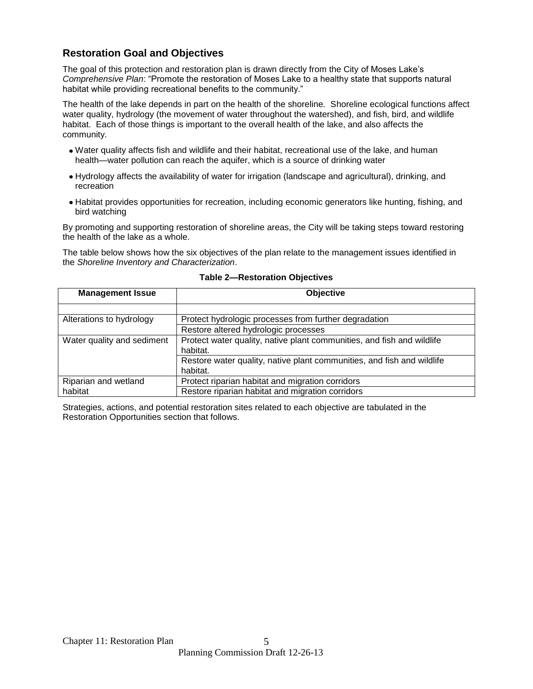## **Restoration Goal and Objectives**

The goal of this protection and restoration plan is drawn directly from the City of Moses Lake's *Comprehensive Plan*: "Promote the restoration of Moses Lake to a healthy state that supports natural habitat while providing recreational benefits to the community."

The health of the lake depends in part on the health of the shoreline. Shoreline ecological functions affect water quality, hydrology (the movement of water throughout the watershed), and fish, bird, and wildlife habitat. Each of those things is important to the overall health of the lake, and also affects the community.

- Water quality affects fish and wildlife and their habitat, recreational use of the lake, and human health—water pollution can reach the aquifer, which is a source of drinking water
- Hydrology affects the availability of water for irrigation (landscape and agricultural), drinking, and recreation
- Habitat provides opportunities for recreation, including economic generators like hunting, fishing, and bird watching

By promoting and supporting restoration of shoreline areas, the City will be taking steps toward restoring the health of the lake as a whole.

The table below shows how the six objectives of the plan relate to the management issues identified in the *Shoreline Inventory and Characterization*.

| <b>Management Issue</b>    | <b>Objective</b>                                                       |
|----------------------------|------------------------------------------------------------------------|
|                            |                                                                        |
| Alterations to hydrology   | Protect hydrologic processes from further degradation                  |
|                            | Restore altered hydrologic processes                                   |
| Water quality and sediment | Protect water quality, native plant communities, and fish and wildlife |
|                            | habitat.                                                               |
|                            | Restore water quality, native plant communities, and fish and wildlife |
|                            | habitat.                                                               |
| Riparian and wetland       | Protect riparian habitat and migration corridors                       |
| habitat                    | Restore riparian habitat and migration corridors                       |

#### **Table 2—Restoration Objectives**

Strategies, actions, and potential restoration sites related to each objective are tabulated in the Restoration Opportunities section that follows.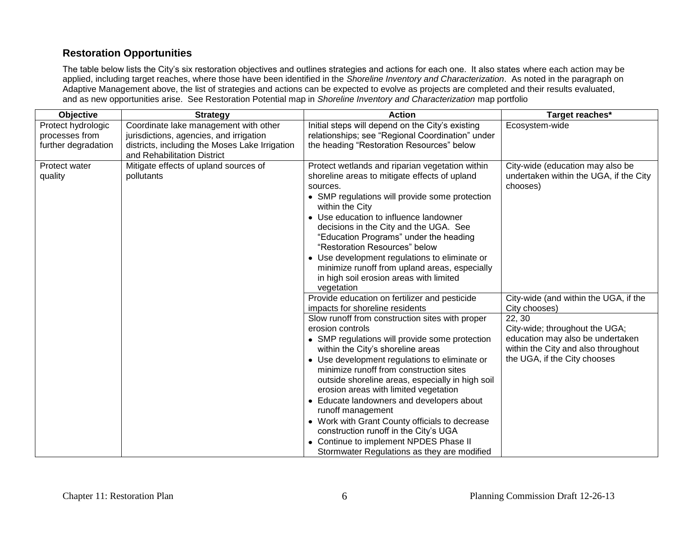# **Restoration Opportunities**

The table below lists the City's six restoration objectives and outlines strategies and actions for each one. It also states where each action may be applied, including target reaches, where those have been identified in the *Shoreline Inventory and Characterization*. As noted in the paragraph on Adaptive Management above, the list of strategies and actions can be expected to evolve as projects are completed and their results evaluated, and as new opportunities arise. See Restoration Potential map in *Shoreline Inventory and Characterization* map portfolio

| Objective                            | <b>Strategy</b>                                                                  | <b>Action</b>                                                                                                                                                                                                                                                                                                                                                                                                                                                                                                                                                                                             | Target reaches*                                                                                                                                     |
|--------------------------------------|----------------------------------------------------------------------------------|-----------------------------------------------------------------------------------------------------------------------------------------------------------------------------------------------------------------------------------------------------------------------------------------------------------------------------------------------------------------------------------------------------------------------------------------------------------------------------------------------------------------------------------------------------------------------------------------------------------|-----------------------------------------------------------------------------------------------------------------------------------------------------|
| Protect hydrologic<br>processes from | Coordinate lake management with other<br>jurisdictions, agencies, and irrigation | Initial steps will depend on the City's existing<br>relationships; see "Regional Coordination" under                                                                                                                                                                                                                                                                                                                                                                                                                                                                                                      | Ecosystem-wide                                                                                                                                      |
| further degradation                  | districts, including the Moses Lake Irrigation<br>and Rehabilitation District    | the heading "Restoration Resources" below                                                                                                                                                                                                                                                                                                                                                                                                                                                                                                                                                                 |                                                                                                                                                     |
| Protect water<br>quality             | Mitigate effects of upland sources of<br>pollutants                              | Protect wetlands and riparian vegetation within<br>shoreline areas to mitigate effects of upland<br>sources.<br>• SMP regulations will provide some protection<br>within the City<br>• Use education to influence landowner<br>decisions in the City and the UGA. See<br>"Education Programs" under the heading<br>"Restoration Resources" below<br>• Use development regulations to eliminate or<br>minimize runoff from upland areas, especially<br>in high soil erosion areas with limited<br>vegetation                                                                                               | City-wide (education may also be<br>undertaken within the UGA, if the City<br>chooses)                                                              |
|                                      |                                                                                  | Provide education on fertilizer and pesticide<br>impacts for shoreline residents                                                                                                                                                                                                                                                                                                                                                                                                                                                                                                                          | City-wide (and within the UGA, if the<br>City chooses)                                                                                              |
|                                      |                                                                                  | Slow runoff from construction sites with proper<br>erosion controls<br>• SMP regulations will provide some protection<br>within the City's shoreline areas<br>• Use development regulations to eliminate or<br>minimize runoff from construction sites<br>outside shoreline areas, especially in high soil<br>erosion areas with limited vegetation<br>• Educate landowners and developers about<br>runoff management<br>• Work with Grant County officials to decrease<br>construction runoff in the City's UGA<br>• Continue to implement NPDES Phase II<br>Stormwater Regulations as they are modified | 22, 30<br>City-wide; throughout the UGA;<br>education may also be undertaken<br>within the City and also throughout<br>the UGA, if the City chooses |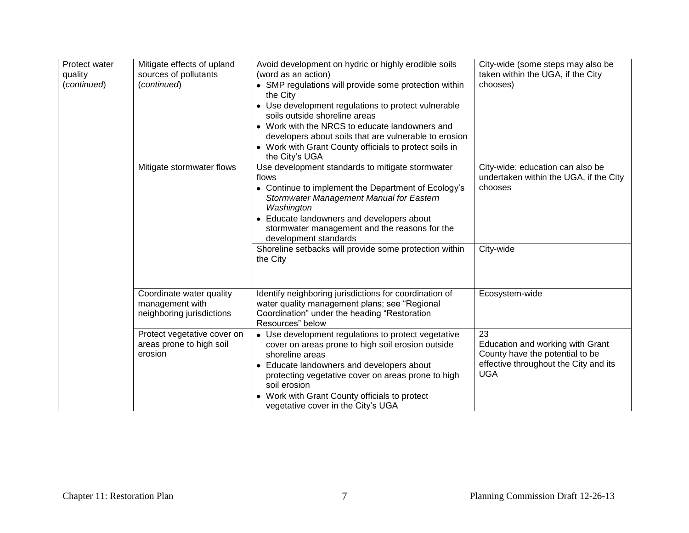| Protect water<br>quality<br>(continued) | Mitigate effects of upland<br>sources of pollutants<br>(continued)       | Avoid development on hydric or highly erodible soils<br>(word as an action)<br>• SMP regulations will provide some protection within<br>the City<br>• Use development regulations to protect vulnerable<br>soils outside shoreline areas<br>• Work with the NRCS to educate landowners and<br>developers about soils that are vulnerable to erosion<br>• Work with Grant County officials to protect soils in<br>the City's UGA | City-wide (some steps may also be<br>taken within the UGA, if the City<br>chooses)                                               |
|-----------------------------------------|--------------------------------------------------------------------------|---------------------------------------------------------------------------------------------------------------------------------------------------------------------------------------------------------------------------------------------------------------------------------------------------------------------------------------------------------------------------------------------------------------------------------|----------------------------------------------------------------------------------------------------------------------------------|
|                                         | Mitigate stormwater flows                                                | Use development standards to mitigate stormwater<br>flows<br>• Continue to implement the Department of Ecology's<br>Stormwater Management Manual for Eastern<br>Washington<br>• Educate landowners and developers about<br>stormwater management and the reasons for the<br>development standards                                                                                                                               | City-wide; education can also be<br>undertaken within the UGA, if the City<br>chooses                                            |
|                                         |                                                                          | Shoreline setbacks will provide some protection within<br>the City                                                                                                                                                                                                                                                                                                                                                              | City-wide                                                                                                                        |
|                                         | Coordinate water quality<br>management with<br>neighboring jurisdictions | Identify neighboring jurisdictions for coordination of<br>water quality management plans; see "Regional<br>Coordination" under the heading "Restoration<br>Resources" below                                                                                                                                                                                                                                                     | Ecosystem-wide                                                                                                                   |
|                                         | Protect vegetative cover on<br>areas prone to high soil<br>erosion       | • Use development regulations to protect vegetative<br>cover on areas prone to high soil erosion outside<br>shoreline areas<br>• Educate landowners and developers about<br>protecting vegetative cover on areas prone to high<br>soil erosion<br>• Work with Grant County officials to protect<br>vegetative cover in the City's UGA                                                                                           | 23<br>Education and working with Grant<br>County have the potential to be<br>effective throughout the City and its<br><b>UGA</b> |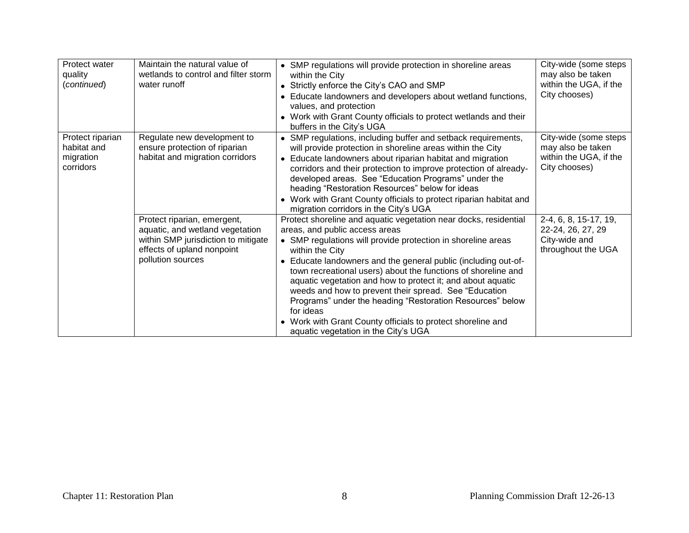| Protect water<br>quality<br>(continued)                   | Maintain the natural value of<br>wetlands to control and filter storm<br>water runoff                                                                    | • SMP regulations will provide protection in shoreline areas<br>within the City<br>• Strictly enforce the City's CAO and SMP<br>Educate landowners and developers about wetland functions,<br>values, and protection<br>Work with Grant County officials to protect wetlands and their<br>buffers in the City's UGA                                                                                                                                                                                                                                                                                                            | City-wide (some steps<br>may also be taken<br>within the UGA, if the<br>City chooses) |
|-----------------------------------------------------------|----------------------------------------------------------------------------------------------------------------------------------------------------------|--------------------------------------------------------------------------------------------------------------------------------------------------------------------------------------------------------------------------------------------------------------------------------------------------------------------------------------------------------------------------------------------------------------------------------------------------------------------------------------------------------------------------------------------------------------------------------------------------------------------------------|---------------------------------------------------------------------------------------|
| Protect riparian<br>habitat and<br>migration<br>corridors | Regulate new development to<br>ensure protection of riparian<br>habitat and migration corridors                                                          | SMP regulations, including buffer and setback requirements,<br>will provide protection in shoreline areas within the City<br>Educate landowners about riparian habitat and migration<br>corridors and their protection to improve protection of already-<br>developed areas. See "Education Programs" under the<br>heading "Restoration Resources" below for ideas<br>Work with Grant County officials to protect riparian habitat and<br>migration corridors in the City's UGA                                                                                                                                                | City-wide (some steps<br>may also be taken<br>within the UGA, if the<br>City chooses) |
|                                                           | Protect riparian, emergent,<br>aquatic, and wetland vegetation<br>within SMP jurisdiction to mitigate<br>effects of upland nonpoint<br>pollution sources | Protect shoreline and aquatic vegetation near docks, residential<br>areas, and public access areas<br>• SMP regulations will provide protection in shoreline areas<br>within the City<br>Educate landowners and the general public (including out-of-<br>town recreational users) about the functions of shoreline and<br>aquatic vegetation and how to protect it; and about aquatic<br>weeds and how to prevent their spread. See "Education"<br>Programs" under the heading "Restoration Resources" below<br>for ideas<br>Work with Grant County officials to protect shoreline and<br>aquatic vegetation in the City's UGA | 2-4, 6, 8, 15-17, 19,<br>22-24, 26, 27, 29<br>City-wide and<br>throughout the UGA     |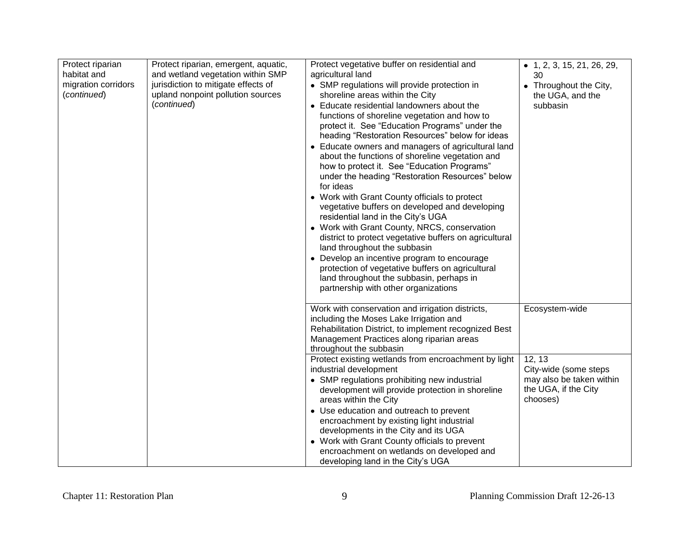| Protect riparian<br>habitat and<br>migration corridors<br>(continued) | Protect riparian, emergent, aquatic,<br>and wetland vegetation within SMP<br>jurisdiction to mitigate effects of<br>upland nonpoint pollution sources<br>(continued) | Protect vegetative buffer on residential and<br>agricultural land<br>• SMP regulations will provide protection in<br>shoreline areas within the City<br>• Educate residential landowners about the<br>functions of shoreline vegetation and how to<br>protect it. See "Education Programs" under the<br>heading "Restoration Resources" below for ideas<br>• Educate owners and managers of agricultural land<br>about the functions of shoreline vegetation and<br>how to protect it. See "Education Programs"<br>under the heading "Restoration Resources" below<br>for ideas<br>• Work with Grant County officials to protect<br>vegetative buffers on developed and developing<br>residential land in the City's UGA<br>• Work with Grant County, NRCS, conservation<br>district to protect vegetative buffers on agricultural<br>land throughout the subbasin<br>• Develop an incentive program to encourage<br>protection of vegetative buffers on agricultural<br>land throughout the subbasin, perhaps in<br>partnership with other organizations | $\bullet$ 1, 2, 3, 15, 21, 26, 29,<br>30<br>• Throughout the City,<br>the UGA, and the<br>subbasin |
|-----------------------------------------------------------------------|----------------------------------------------------------------------------------------------------------------------------------------------------------------------|-----------------------------------------------------------------------------------------------------------------------------------------------------------------------------------------------------------------------------------------------------------------------------------------------------------------------------------------------------------------------------------------------------------------------------------------------------------------------------------------------------------------------------------------------------------------------------------------------------------------------------------------------------------------------------------------------------------------------------------------------------------------------------------------------------------------------------------------------------------------------------------------------------------------------------------------------------------------------------------------------------------------------------------------------------------|----------------------------------------------------------------------------------------------------|
|                                                                       |                                                                                                                                                                      | Work with conservation and irrigation districts,<br>including the Moses Lake Irrigation and<br>Rehabilitation District, to implement recognized Best<br>Management Practices along riparian areas<br>throughout the subbasin                                                                                                                                                                                                                                                                                                                                                                                                                                                                                                                                                                                                                                                                                                                                                                                                                              | Ecosystem-wide                                                                                     |
|                                                                       |                                                                                                                                                                      | Protect existing wetlands from encroachment by light<br>industrial development<br>• SMP regulations prohibiting new industrial<br>development will provide protection in shoreline<br>areas within the City<br>• Use education and outreach to prevent<br>encroachment by existing light industrial<br>developments in the City and its UGA<br>• Work with Grant County officials to prevent<br>encroachment on wetlands on developed and<br>developing land in the City's UGA                                                                                                                                                                                                                                                                                                                                                                                                                                                                                                                                                                            | 12, 13<br>City-wide (some steps<br>may also be taken within<br>the UGA, if the City<br>chooses)    |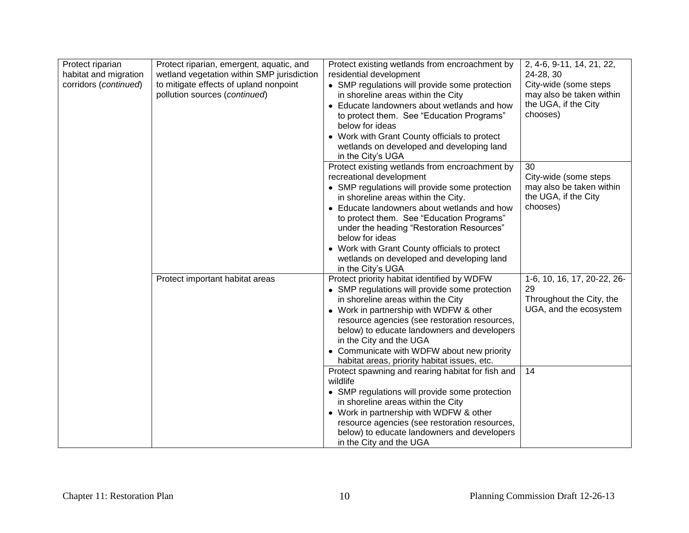| Protect riparian<br>habitat and migration<br>corridors (continued) | Protect riparian, emergent, aquatic, and<br>wetland vegetation within SMP jurisdiction<br>to mitigate effects of upland nonpoint<br>pollution sources (continued) | Protect existing wetlands from encroachment by<br>residential development<br>• SMP regulations will provide some protection<br>in shoreline areas within the City<br>• Educate landowners about wetlands and how<br>to protect them. See "Education Programs"<br>below for ideas<br>• Work with Grant County officials to protect<br>wetlands on developed and developing land<br>in the City's UGA                                                | 2, 4-6, 9-11, 14, 21, 22,<br>24-28, 30<br>City-wide (some steps<br>may also be taken within<br>the UGA, if the City<br>chooses) |
|--------------------------------------------------------------------|-------------------------------------------------------------------------------------------------------------------------------------------------------------------|----------------------------------------------------------------------------------------------------------------------------------------------------------------------------------------------------------------------------------------------------------------------------------------------------------------------------------------------------------------------------------------------------------------------------------------------------|---------------------------------------------------------------------------------------------------------------------------------|
|                                                                    |                                                                                                                                                                   | Protect existing wetlands from encroachment by<br>recreational development<br>• SMP regulations will provide some protection<br>in shoreline areas within the City.<br>• Educate landowners about wetlands and how<br>to protect them. See "Education Programs"<br>under the heading "Restoration Resources"<br>below for ideas<br>• Work with Grant County officials to protect<br>wetlands on developed and developing land<br>in the City's UGA | 30<br>City-wide (some steps<br>may also be taken within<br>the UGA, if the City<br>chooses)                                     |
|                                                                    | Protect important habitat areas                                                                                                                                   | Protect priority habitat identified by WDFW<br>• SMP regulations will provide some protection<br>in shoreline areas within the City<br>• Work in partnership with WDFW & other<br>resource agencies (see restoration resources,<br>below) to educate landowners and developers<br>in the City and the UGA<br>• Communicate with WDFW about new priority<br>habitat areas, priority habitat issues, etc.                                            | 1-6, 10, 16, 17, 20-22, 26-<br>29<br>Throughout the City, the<br>UGA, and the ecosystem                                         |
|                                                                    |                                                                                                                                                                   | Protect spawning and rearing habitat for fish and<br>wildlife<br>• SMP regulations will provide some protection<br>in shoreline areas within the City<br>• Work in partnership with WDFW & other<br>resource agencies (see restoration resources,<br>below) to educate landowners and developers<br>in the City and the UGA                                                                                                                        | 14                                                                                                                              |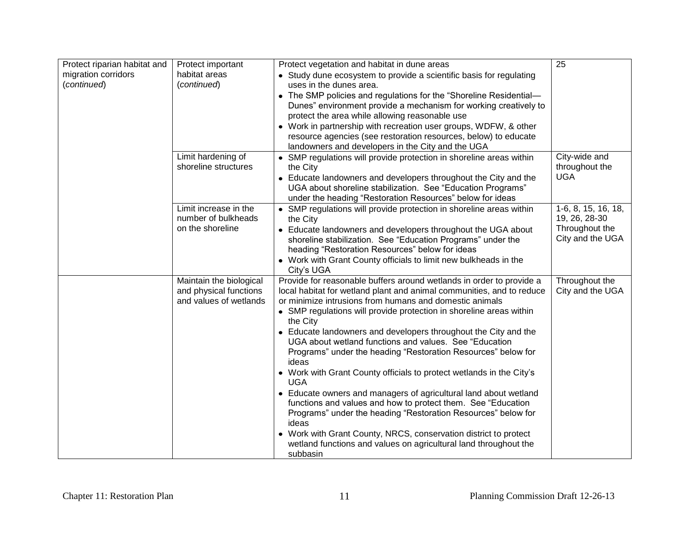| Protect riparian habitat and<br>migration corridors<br>(continued) | Protect important<br>habitat areas<br>(continued)                           | Protect vegetation and habitat in dune areas<br>• Study dune ecosystem to provide a scientific basis for regulating<br>uses in the dunes area.                                                                                                                                                                                                                                                                                                                                                                                                                                                                                                                                                                                                                                                                                                                                                                                                             | 25                                                                         |
|--------------------------------------------------------------------|-----------------------------------------------------------------------------|------------------------------------------------------------------------------------------------------------------------------------------------------------------------------------------------------------------------------------------------------------------------------------------------------------------------------------------------------------------------------------------------------------------------------------------------------------------------------------------------------------------------------------------------------------------------------------------------------------------------------------------------------------------------------------------------------------------------------------------------------------------------------------------------------------------------------------------------------------------------------------------------------------------------------------------------------------|----------------------------------------------------------------------------|
|                                                                    |                                                                             | • The SMP policies and regulations for the "Shoreline Residential-<br>Dunes" environment provide a mechanism for working creatively to<br>protect the area while allowing reasonable use<br>• Work in partnership with recreation user groups, WDFW, & other                                                                                                                                                                                                                                                                                                                                                                                                                                                                                                                                                                                                                                                                                               |                                                                            |
|                                                                    |                                                                             | resource agencies (see restoration resources, below) to educate<br>landowners and developers in the City and the UGA                                                                                                                                                                                                                                                                                                                                                                                                                                                                                                                                                                                                                                                                                                                                                                                                                                       |                                                                            |
|                                                                    | Limit hardening of<br>shoreline structures                                  | • SMP regulations will provide protection in shoreline areas within<br>the City<br>• Educate landowners and developers throughout the City and the<br>UGA about shoreline stabilization. See "Education Programs"<br>under the heading "Restoration Resources" below for ideas                                                                                                                                                                                                                                                                                                                                                                                                                                                                                                                                                                                                                                                                             | City-wide and<br>throughout the<br><b>UGA</b>                              |
|                                                                    | Limit increase in the<br>number of bulkheads<br>on the shoreline            | • SMP regulations will provide protection in shoreline areas within<br>the City<br>• Educate landowners and developers throughout the UGA about<br>shoreline stabilization. See "Education Programs" under the<br>heading "Restoration Resources" below for ideas<br>• Work with Grant County officials to limit new bulkheads in the<br>City's UGA                                                                                                                                                                                                                                                                                                                                                                                                                                                                                                                                                                                                        | 1-6, 8, 15, 16, 18,<br>19, 26, 28-30<br>Throughout the<br>City and the UGA |
|                                                                    | Maintain the biological<br>and physical functions<br>and values of wetlands | Provide for reasonable buffers around wetlands in order to provide a<br>local habitat for wetland plant and animal communities, and to reduce<br>or minimize intrusions from humans and domestic animals<br>• SMP regulations will provide protection in shoreline areas within<br>the City<br>• Educate landowners and developers throughout the City and the<br>UGA about wetland functions and values. See "Education<br>Programs" under the heading "Restoration Resources" below for<br>ideas<br>• Work with Grant County officials to protect wetlands in the City's<br><b>UGA</b><br>• Educate owners and managers of agricultural land about wetland<br>functions and values and how to protect them. See "Education<br>Programs" under the heading "Restoration Resources" below for<br>ideas<br>• Work with Grant County, NRCS, conservation district to protect<br>wetland functions and values on agricultural land throughout the<br>subbasin | Throughout the<br>City and the UGA                                         |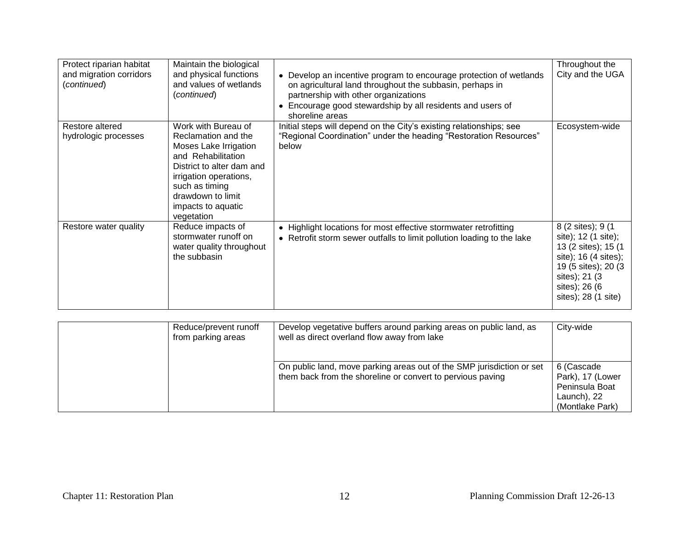| Protect riparian habitat<br>and migration corridors<br>(continued) | Maintain the biological<br>and physical functions<br>and values of wetlands<br>(continued)                                                                                                                                  | • Develop an incentive program to encourage protection of wetlands<br>on agricultural land throughout the subbasin, perhaps in<br>partnership with other organizations<br>• Encourage good stewardship by all residents and users of<br>shoreline areas | Throughout the<br>City and the UGA                                                                                                                                         |
|--------------------------------------------------------------------|-----------------------------------------------------------------------------------------------------------------------------------------------------------------------------------------------------------------------------|---------------------------------------------------------------------------------------------------------------------------------------------------------------------------------------------------------------------------------------------------------|----------------------------------------------------------------------------------------------------------------------------------------------------------------------------|
| Restore altered<br>hydrologic processes                            | Work with Bureau of<br>Reclamation and the<br>Moses Lake Irrigation<br>and Rehabilitation<br>District to alter dam and<br>irrigation operations,<br>such as timing<br>drawdown to limit<br>impacts to aquatic<br>vegetation | Initial steps will depend on the City's existing relationships; see<br>"Regional Coordination" under the heading "Restoration Resources"<br>below                                                                                                       | Ecosystem-wide                                                                                                                                                             |
| Restore water quality                                              | Reduce impacts of<br>stormwater runoff on<br>water quality throughout<br>the subbasin                                                                                                                                       | • Highlight locations for most effective stormwater retrofitting<br>• Retrofit storm sewer outfalls to limit pollution loading to the lake                                                                                                              | 8 (2 sites); 9 (1<br>site); 12 (1 site);<br>13 (2 sites); 15 (1<br>site); 16 (4 sites);<br>19 (5 sites); 20 (3)<br>sites); 21 (3)<br>sites); 26 (6)<br>sites); 28 (1 site) |

| Reduce/prevent runoff<br>from parking areas | Develop vegetative buffers around parking areas on public land, as<br>well as direct overland flow away from lake                   | City-wide                                                                          |
|---------------------------------------------|-------------------------------------------------------------------------------------------------------------------------------------|------------------------------------------------------------------------------------|
|                                             | On public land, move parking areas out of the SMP jurisdiction or set<br>them back from the shoreline or convert to pervious paving | 6 (Cascade<br>Park), 17 (Lower<br>Peninsula Boat<br>Launch), 22<br>(Montlake Park) |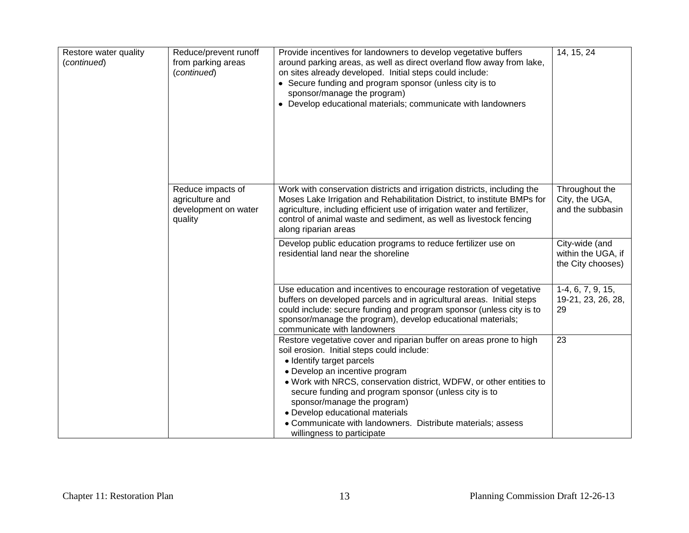| Restore water quality<br>(continued) | Reduce/prevent runoff<br>from parking areas<br>(continued)              | Provide incentives for landowners to develop vegetative buffers<br>around parking areas, as well as direct overland flow away from lake,<br>on sites already developed. Initial steps could include:<br>• Secure funding and program sponsor (unless city is to<br>sponsor/manage the program)<br>• Develop educational materials; communicate with landowners                                                                                                                  | 14, 15, 24                                                |
|--------------------------------------|-------------------------------------------------------------------------|---------------------------------------------------------------------------------------------------------------------------------------------------------------------------------------------------------------------------------------------------------------------------------------------------------------------------------------------------------------------------------------------------------------------------------------------------------------------------------|-----------------------------------------------------------|
|                                      | Reduce impacts of<br>agriculture and<br>development on water<br>quality | Work with conservation districts and irrigation districts, including the<br>Moses Lake Irrigation and Rehabilitation District, to institute BMPs for<br>agriculture, including efficient use of irrigation water and fertilizer,<br>control of animal waste and sediment, as well as livestock fencing<br>along riparian areas                                                                                                                                                  | Throughout the<br>City, the UGA,<br>and the subbasin      |
|                                      |                                                                         | Develop public education programs to reduce fertilizer use on<br>residential land near the shoreline                                                                                                                                                                                                                                                                                                                                                                            | City-wide (and<br>within the UGA, if<br>the City chooses) |
|                                      |                                                                         | Use education and incentives to encourage restoration of vegetative<br>buffers on developed parcels and in agricultural areas. Initial steps<br>could include: secure funding and program sponsor (unless city is to<br>sponsor/manage the program), develop educational materials;<br>communicate with landowners                                                                                                                                                              | $1-4, 6, 7, 9, 15,$<br>19-21, 23, 26, 28,<br>29           |
|                                      |                                                                         | Restore vegetative cover and riparian buffer on areas prone to high<br>soil erosion. Initial steps could include:<br>• Identify target parcels<br>• Develop an incentive program<br>. Work with NRCS, conservation district, WDFW, or other entities to<br>secure funding and program sponsor (unless city is to<br>sponsor/manage the program)<br>• Develop educational materials<br>• Communicate with landowners. Distribute materials; assess<br>willingness to participate | 23                                                        |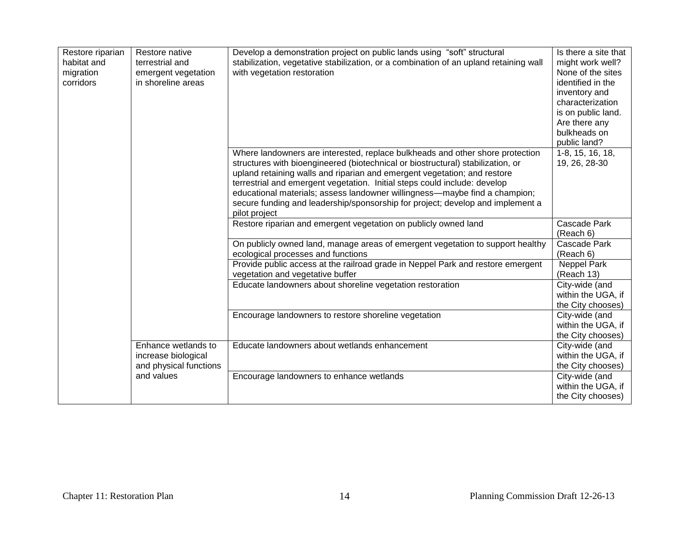| Restore riparian<br>habitat and<br>migration<br>corridors | Restore native<br>terrestrial and<br>emergent vegetation<br>in shoreline areas | Develop a demonstration project on public lands using "soft" structural<br>stabilization, vegetative stabilization, or a combination of an upland retaining wall<br>with vegetation restoration                                                                                                                                                                                                                                                                                                            | Is there a site that<br>might work well?<br>None of the sites<br>identified in the<br>inventory and<br>characterization<br>is on public land.<br>Are there any<br>bulkheads on<br>public land? |
|-----------------------------------------------------------|--------------------------------------------------------------------------------|------------------------------------------------------------------------------------------------------------------------------------------------------------------------------------------------------------------------------------------------------------------------------------------------------------------------------------------------------------------------------------------------------------------------------------------------------------------------------------------------------------|------------------------------------------------------------------------------------------------------------------------------------------------------------------------------------------------|
|                                                           |                                                                                | Where landowners are interested, replace bulkheads and other shore protection<br>structures with bioengineered (biotechnical or biostructural) stabilization, or<br>upland retaining walls and riparian and emergent vegetation; and restore<br>terrestrial and emergent vegetation. Initial steps could include: develop<br>educational materials; assess landowner willingness-maybe find a champion;<br>secure funding and leadership/sponsorship for project; develop and implement a<br>pilot project | 1-8, 15, 16, 18,<br>19, 26, 28-30                                                                                                                                                              |
|                                                           |                                                                                | Restore riparian and emergent vegetation on publicly owned land                                                                                                                                                                                                                                                                                                                                                                                                                                            | Cascade Park<br>(Reach 6)                                                                                                                                                                      |
|                                                           |                                                                                | On publicly owned land, manage areas of emergent vegetation to support healthy<br>ecological processes and functions                                                                                                                                                                                                                                                                                                                                                                                       | Cascade Park<br>(Reach 6)                                                                                                                                                                      |
|                                                           |                                                                                | Provide public access at the railroad grade in Neppel Park and restore emergent<br>vegetation and vegetative buffer                                                                                                                                                                                                                                                                                                                                                                                        | <b>Neppel Park</b><br>(Reach 13)                                                                                                                                                               |
|                                                           |                                                                                | Educate landowners about shoreline vegetation restoration                                                                                                                                                                                                                                                                                                                                                                                                                                                  | City-wide (and<br>within the UGA, if<br>the City chooses)                                                                                                                                      |
|                                                           |                                                                                | Encourage landowners to restore shoreline vegetation                                                                                                                                                                                                                                                                                                                                                                                                                                                       | City-wide (and<br>within the UGA, if<br>the City chooses)                                                                                                                                      |
|                                                           | Enhance wetlands to<br>increase biological<br>and physical functions           | Educate landowners about wetlands enhancement                                                                                                                                                                                                                                                                                                                                                                                                                                                              | City-wide (and<br>within the UGA, if<br>the City chooses)                                                                                                                                      |
|                                                           | and values                                                                     | Encourage landowners to enhance wetlands                                                                                                                                                                                                                                                                                                                                                                                                                                                                   | City-wide (and<br>within the UGA, if<br>the City chooses)                                                                                                                                      |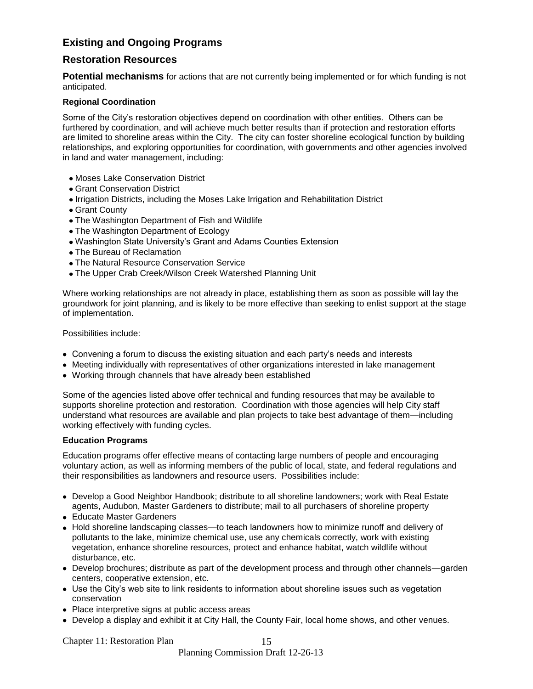## **Existing and Ongoing Programs**

## **Restoration Resources**

**Potential mechanisms** for actions that are not currently being implemented or for which funding is not anticipated.

## **Regional Coordination**

Some of the City's restoration objectives depend on coordination with other entities. Others can be furthered by coordination, and will achieve much better results than if protection and restoration efforts are limited to shoreline areas within the City. The city can foster shoreline ecological function by building relationships, and exploring opportunities for coordination, with governments and other agencies involved in land and water management, including:

- Moses Lake Conservation District
- Grant Conservation District
- Irrigation Districts, including the Moses Lake Irrigation and Rehabilitation District
- Grant County
- The Washington Department of Fish and Wildlife
- The Washington Department of Ecology
- Washington State University's Grant and Adams Counties Extension
- The Bureau of Reclamation
- The Natural Resource Conservation Service
- The Upper Crab Creek/Wilson Creek Watershed Planning Unit

Where working relationships are not already in place, establishing them as soon as possible will lay the groundwork for joint planning, and is likely to be more effective than seeking to enlist support at the stage of implementation.

Possibilities include:

- Convening a forum to discuss the existing situation and each party's needs and interests
- Meeting individually with representatives of other organizations interested in lake management
- Working through channels that have already been established

Some of the agencies listed above offer technical and funding resources that may be available to supports shoreline protection and restoration. Coordination with those agencies will help City staff understand what resources are available and plan projects to take best advantage of them—including working effectively with funding cycles.

## **Education Programs**

Education programs offer effective means of contacting large numbers of people and encouraging voluntary action, as well as informing members of the public of local, state, and federal regulations and their responsibilities as landowners and resource users. Possibilities include:

- Develop a Good Neighbor Handbook; distribute to all shoreline landowners; work with Real Estate agents, Audubon, Master Gardeners to distribute; mail to all purchasers of shoreline property
- Educate Master Gardeners
- Hold shoreline landscaping classes—to teach landowners how to minimize runoff and delivery of pollutants to the lake, minimize chemical use, use any chemicals correctly, work with existing vegetation, enhance shoreline resources, protect and enhance habitat, watch wildlife without disturbance, etc.
- Develop brochures; distribute as part of the development process and through other channels—garden centers, cooperative extension, etc.
- Use the City's web site to link residents to information about shoreline issues such as vegetation conservation
- Place interpretive signs at public access areas
- Develop a display and exhibit it at City Hall, the County Fair, local home shows, and other venues.

15

Planning Commission Draft 12-26-13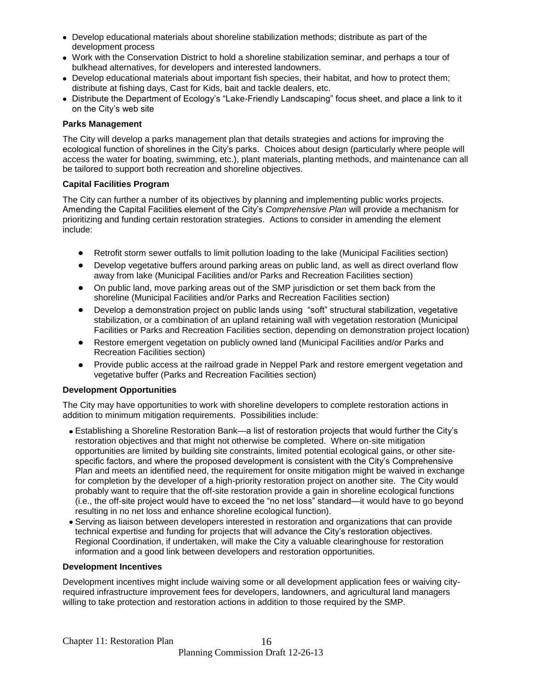- Develop educational materials about shoreline stabilization methods; distribute as part of the development process
- Work with the Conservation District to hold a shoreline stabilization seminar, and perhaps a tour of bulkhead alternatives, for developers and interested landowners.
- Develop educational materials about important fish species, their habitat, and how to protect them; distribute at fishing days, Cast for Kids, bait and tackle dealers, etc.
- Distribute the Department of Ecology's "Lake-Friendly Landscaping" focus sheet, and place a link to it on the City's web site

#### **Parks Management**

The City will develop a parks management plan that details strategies and actions for improving the ecological function of shorelines in the City's parks. Choices about design (particularly where people will access the water for boating, swimming, etc.), plant materials, planting methods, and maintenance can all be tailored to support both recreation and shoreline objectives.

#### **Capital Facilities Program**

The City can further a number of its objectives by planning and implementing public works projects. Amending the Capital Facilities element of the City's *Comprehensive Plan* will provide a mechanism for prioritizing and funding certain restoration strategies. Actions to consider in amending the element include:

- Retrofit storm sewer outfalls to limit pollution loading to the lake (Municipal Facilities section)
- Develop vegetative buffers around parking areas on public land, as well as direct overland flow away from lake (Municipal Facilities and/or Parks and Recreation Facilities section)
- On public land, move parking areas out of the SMP jurisdiction or set them back from the shoreline (Municipal Facilities and/or Parks and Recreation Facilities section)
- Develop a demonstration project on public lands using "soft" structural stabilization, vegetative stabilization, or a combination of an upland retaining wall with vegetation restoration (Municipal Facilities or Parks and Recreation Facilities section, depending on demonstration project location)
- Restore emergent vegetation on publicly owned land (Municipal Facilities and/or Parks and Recreation Facilities section)
- Provide public access at the railroad grade in Neppel Park and restore emergent vegetation and vegetative buffer (Parks and Recreation Facilities section)

#### **Development Opportunities**

The City may have opportunities to work with shoreline developers to complete restoration actions in addition to minimum mitigation requirements. Possibilities include:

- Establishing a Shoreline Restoration Bank—a list of restoration projects that would further the City's restoration objectives and that might not otherwise be completed. Where on-site mitigation opportunities are limited by building site constraints, limited potential ecological gains, or other sitespecific factors, and where the proposed development is consistent with the City's Comprehensive Plan and meets an identified need, the requirement for onsite mitigation might be waived in exchange for completion by the developer of a high-priority restoration project on another site. The City would probably want to require that the off-site restoration provide a gain in shoreline ecological functions (i.e., the off-site project would have to exceed the "no net loss" standard—it would have to go beyond resulting in no net loss and enhance shoreline ecological function).
- Serving as liaison between developers interested in restoration and organizations that can provide technical expertise and funding for projects that will advance the City's restoration objectives. Regional Coordination, if undertaken, will make the City a valuable clearinghouse for restoration information and a good link between developers and restoration opportunities.

#### **Development Incentives**

Development incentives might include waiving some or all development application fees or waiving cityrequired infrastructure improvement fees for developers, landowners, and agricultural land managers willing to take protection and restoration actions in addition to those required by the SMP.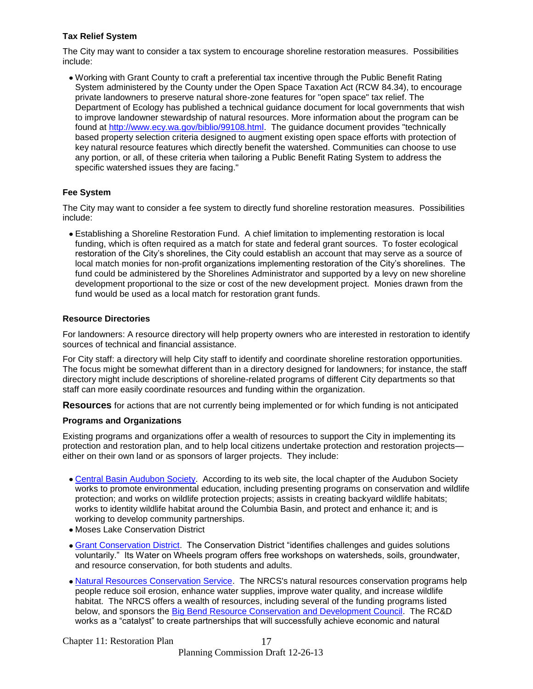## **Tax Relief System**

The City may want to consider a tax system to encourage shoreline restoration measures. Possibilities include:

Working with Grant County to craft a preferential tax incentive through the Public Benefit Rating System administered by the County under the Open Space Taxation Act (RCW 84.34), to encourage private landowners to preserve natural shore-zone features for "open space" tax relief. The Department of Ecology has published a technical guidance document for local governments that wish to improve landowner stewardship of natural resources. More information about the program can be found at [http://www.ecy.wa.gov/biblio/99108.html.](http://www.ecy.wa.gov/biblio/99108.html) The guidance document provides "technically based property selection criteria designed to augment existing open space efforts with protection of key natural resource features which directly benefit the watershed. Communities can choose to use any portion, or all, of these criteria when tailoring a Public Benefit Rating System to address the specific watershed issues they are facing."

## **Fee System**

The City may want to consider a fee system to directly fund shoreline restoration measures. Possibilities include:

Establishing a Shoreline Restoration Fund. A chief limitation to implementing restoration is local funding, which is often required as a match for state and federal grant sources. To foster ecological restoration of the City's shorelines, the City could establish an account that may serve as a source of local match monies for non-profit organizations implementing restoration of the City's shorelines. The fund could be administered by the Shorelines Administrator and supported by a levy on new shoreline development proportional to the size or cost of the new development project. Monies drawn from the fund would be used as a local match for restoration grant funds.

## **Resource Directories**

For landowners: A resource directory will help property owners who are interested in restoration to identify sources of technical and financial assistance.

For City staff: a directory will help City staff to identify and coordinate shoreline restoration opportunities. The focus might be somewhat different than in a directory designed for landowners; for instance, the staff directory might include descriptions of shoreline-related programs of different City departments so that staff can more easily coordinate resources and funding within the organization.

**Resources** for actions that are not currently being implemented or for which funding is not anticipated

## **Programs and Organizations**

Existing programs and organizations offer a wealth of resources to support the City in implementing its protection and restoration plan, and to help local citizens undertake protection and restoration projects either on their own land or as sponsors of larger projects. They include:

- [Central Basin Audubon Society.](http://www.cbas.org/) According to its web site, the local chapter of the Audubon Society works to promote environmental education, including presenting programs on conservation and wildlife protection; and works on wildlife protection projects; assists in creating backyard wildlife habitats; works to identity wildlife habitat around the Columbia Basin, and protect and enhance it; and is working to develop community partnerships.
- Moses Lake Conservation District
- [Grant Conservation District.](http://cdp.wa.nacdnet.org/) The Conservation District "identifies challenges and guides solutions voluntarily." Its Water on Wheels program offers free workshops on watersheds, soils, groundwater, and resource conservation, for both students and adults.
- [Natural Resources Conservation Service.](http://www.wa.nrcs.usda.gov/) The NRCS's natural resources conservation programs help people reduce soil erosion, enhance water supplies, improve water quality, and increase wildlife habitat. The NRCS offers a wealth of resources, including several of the funding programs listed below, and sponsors the [Big Bend Resource Conservation and Development Council.](http://www.bbrcd.com/index.html) The RC&D works as a "catalyst" to create partnerships that will successfully achieve economic and natural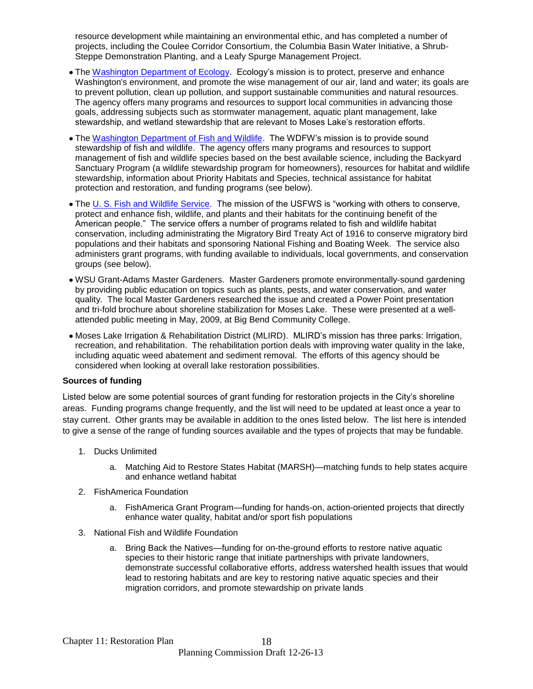resource development while maintaining an environmental ethic, and has completed a number of projects, including the Coulee Corridor Consortium, the Columbia Basin Water Initiative, a Shrub-Steppe Demonstration Planting, and a Leafy Spurge Management Project.

- The [Washington Department of Ecology.](http://www.ecy.wa.gov/ecyhome.html) Ecology's mission is to protect, preserve and enhance Washington's environment, and promote the wise management of our air, land and water; its goals are to prevent pollution, clean up pollution, and support sustainable communities and natural resources. The agency offers many programs and resources to support local communities in advancing those goals, addressing subjects such as stormwater management, aquatic plant management, lake stewardship, and wetland stewardship that are relevant to Moses Lake's restoration efforts.
- The [Washington Department of Fish and Wildlife.](http://wdfw.wa.gov/) The WDFW's mission is to provide sound stewardship of fish and wildlife. The agency offers many programs and resources to support management of fish and wildlife species based on the best available science, including the Backyard Sanctuary Program (a wildlife stewardship program for homeowners), resources for habitat and wildlife stewardship, information about Priority Habitats and Species, technical assistance for habitat protection and restoration, and funding programs (see below).
- The [U. S. Fish and Wildlife Service.](http://www.fws.gov/) The mission of the USFWS is "working with others to conserve, protect and enhance fish, wildlife, and plants and their habitats for the continuing benefit of the American people." The service offers a number of programs related to fish and wildlife habitat conservation, including administrating the Migratory Bird Treaty Act of 1916 to conserve migratory bird populations and their habitats and sponsoring National Fishing and Boating Week. The service also administers grant programs, with funding available to individuals, local governments, and conservation groups (see below).
- WSU Grant-Adams Master Gardeners. Master Gardeners promote environmentally-sound gardening by providing public education on topics such as plants, pests, and water conservation, and water quality. The local Master Gardeners researched the issue and created a Power Point presentation and tri-fold brochure about shoreline stabilization for Moses Lake. These were presented at a wellattended public meeting in May, 2009, at Big Bend Community College.
- Moses Lake Irrigation & Rehabilitation District (MLIRD).MLIRD's mission has three parks: Irrigation, recreation, and rehabilitation. The rehabilitation portion deals with improving water quality in the lake, including aquatic weed abatement and sediment removal. The efforts of this agency should be considered when looking at overall lake restoration possibilities.

## **Sources of funding**

Listed below are some potential sources of grant funding for restoration projects in the City's shoreline areas. Funding programs change frequently, and the list will need to be updated at least once a year to stay current. Other grants may be available in addition to the ones listed below. The list here is intended to give a sense of the range of funding sources available and the types of projects that may be fundable.

- 1. Ducks Unlimited
	- a. Matching Aid to Restore States Habitat (MARSH)—matching funds to help states acquire and enhance wetland habitat
- 2. FishAmerica Foundation
	- a. FishAmerica Grant Program—funding for hands-on, action-oriented projects that directly enhance water quality, habitat and/or sport fish populations
- 3. National Fish and Wildlife Foundation
	- a. Bring Back the Natives—funding for on-the-ground efforts to restore native aquatic species to their historic range that initiate partnerships with private landowners, demonstrate successful collaborative efforts, address watershed health issues that would lead to restoring habitats and are key to restoring native aquatic species and their migration corridors, and promote stewardship on private lands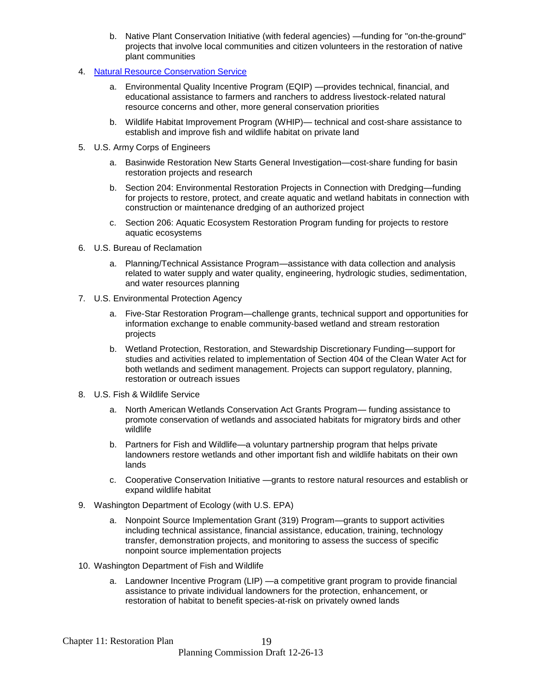- b. Native Plant Conservation Initiative (with federal agencies) —funding for "on-the-ground" projects that involve local communities and citizen volunteers in the restoration of native plant communities
- 4. [Natural Resource Conservation Service](http://www.wa.nrcs.usda.gov/)
	- a. Environmental Quality Incentive Program (EQIP) —provides technical, financial, and educational assistance to farmers and ranchers to address livestock-related natural resource concerns and other, more general conservation priorities
	- b. Wildlife Habitat Improvement Program (WHIP)— technical and cost-share assistance to establish and improve fish and wildlife habitat on private land
- 5. U.S. Army Corps of Engineers
	- a. Basinwide Restoration New Starts General Investigation—cost-share funding for basin restoration projects and research
	- b. Section 204: Environmental Restoration Projects in Connection with Dredging—funding for projects to restore, protect, and create aquatic and wetland habitats in connection with construction or maintenance dredging of an authorized project
	- c. Section 206: Aquatic Ecosystem Restoration Program funding for projects to restore aquatic ecosystems
- 6. U.S. Bureau of Reclamation
	- a. Planning/Technical Assistance Program—assistance with data collection and analysis related to water supply and water quality, engineering, hydrologic studies, sedimentation, and water resources planning
- 7. U.S. Environmental Protection Agency
	- a. Five-Star Restoration Program—challenge grants, technical support and opportunities for information exchange to enable community-based wetland and stream restoration projects
	- b. Wetland Protection, Restoration, and Stewardship Discretionary Funding—support for studies and activities related to implementation of Section 404 of the Clean Water Act for both wetlands and sediment management. Projects can support regulatory, planning, restoration or outreach issues
- 8. U.S. Fish & Wildlife Service
	- a. North American Wetlands Conservation Act Grants Program— funding assistance to promote conservation of wetlands and associated habitats for migratory birds and other wildlife
	- b. Partners for Fish and Wildlife—a voluntary partnership program that helps private landowners restore wetlands and other important fish and wildlife habitats on their own lands
	- c. Cooperative Conservation Initiative —grants to restore natural resources and establish or expand wildlife habitat
- 9. Washington Department of Ecology (with U.S. EPA)
	- a. Nonpoint Source Implementation Grant (319) Program—grants to support activities including technical assistance, financial assistance, education, training, technology transfer, demonstration projects, and monitoring to assess the success of specific nonpoint source implementation projects
- 10. Washington Department of Fish and Wildlife
	- a. Landowner Incentive Program (LIP) —a competitive grant program to provide financial assistance to private individual landowners for the protection, enhancement, or restoration of habitat to benefit species-at-risk on privately owned lands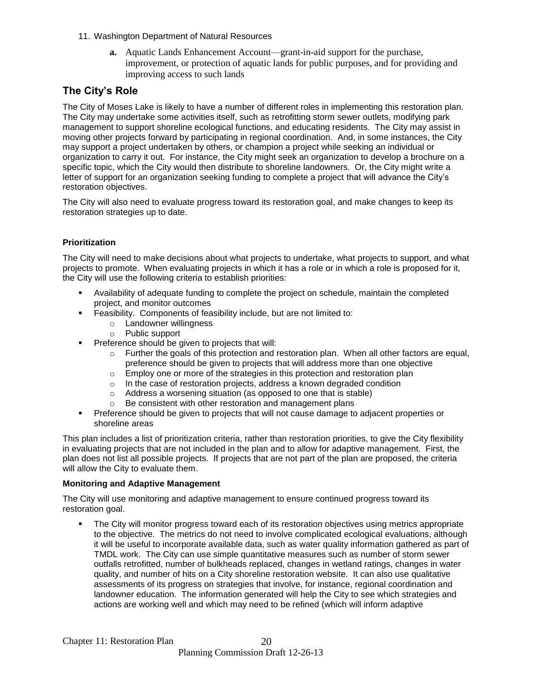- 11. Washington Department of Natural Resources
	- **a.** Aquatic Lands Enhancement Account—grant-in-aid support for the purchase, improvement, or protection of aquatic lands for public purposes, and for providing and improving access to such lands

## **The City's Role**

The City of Moses Lake is likely to have a number of different roles in implementing this restoration plan. The City may undertake some activities itself, such as retrofitting storm sewer outlets, modifying park management to support shoreline ecological functions, and educating residents. The City may assist in moving other projects forward by participating in regional coordination. And, in some instances, the City may support a project undertaken by others, or champion a project while seeking an individual or organization to carry it out. For instance, the City might seek an organization to develop a brochure on a specific topic, which the City would then distribute to shoreline landowners. Or, the City might write a letter of support for an organization seeking funding to complete a project that will advance the City's restoration objectives.

The City will also need to evaluate progress toward its restoration goal, and make changes to keep its restoration strategies up to date.

## **Prioritization**

The City will need to make decisions about what projects to undertake, what projects to support, and what projects to promote. When evaluating projects in which it has a role or in which a role is proposed for it, the City will use the following criteria to establish priorities:

- Availability of adequate funding to complete the project on schedule, maintain the completed project, and monitor outcomes
- Feasibility. Components of feasibility include, but are not limited to:
	- o Landowner willingness
	- o Public support
- **Preference should be given to projects that will:** 
	- $\circ$  Further the goals of this protection and restoration plan. When all other factors are equal, preference should be given to projects that will address more than one objective
	- $\circ$  Employ one or more of the strategies in this protection and restoration plan
	- $\circ$  In the case of restoration projects, address a known degraded condition
	- o Address a worsening situation (as opposed to one that is stable)
	- o Be consistent with other restoration and management plans
- Preference should be given to projects that will not cause damage to adjacent properties or shoreline areas

This plan includes a list of prioritization criteria, rather than restoration priorities, to give the City flexibility in evaluating projects that are not included in the plan and to allow for adaptive management. First, the plan does not list all possible projects. If projects that are not part of the plan are proposed, the criteria will allow the City to evaluate them.

## **Monitoring and Adaptive Management**

The City will use monitoring and adaptive management to ensure continued progress toward its restoration goal.

 The City will monitor progress toward each of its restoration objectives using metrics appropriate to the objective. The metrics do not need to involve complicated ecological evaluations, although it will be useful to incorporate available data, such as water quality information gathered as part of TMDL work. The City can use simple quantitative measures such as number of storm sewer outfalls retrofitted, number of bulkheads replaced, changes in wetland ratings, changes in water quality, and number of hits on a City shoreline restoration website. It can also use qualitative assessments of its progress on strategies that involve, for instance, regional coordination and landowner education. The information generated will help the City to see which strategies and actions are working well and which may need to be refined (which will inform adaptive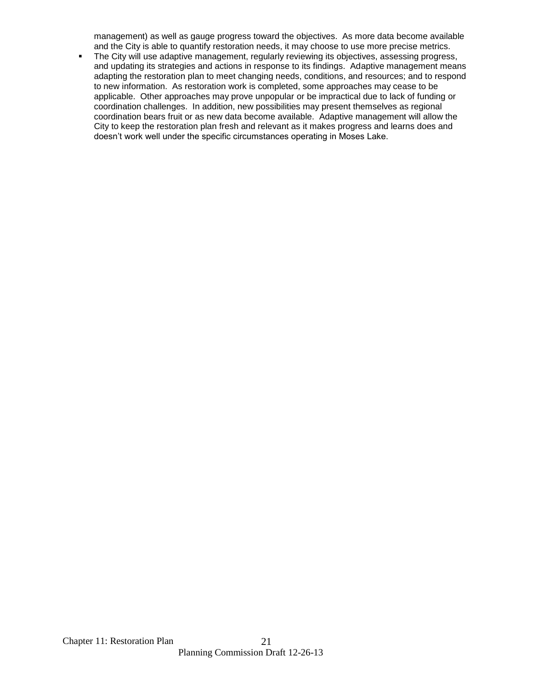management) as well as gauge progress toward the objectives. As more data become available and the City is able to quantify restoration needs, it may choose to use more precise metrics.

• The City will use adaptive management, regularly reviewing its objectives, assessing progress, and updating its strategies and actions in response to its findings. Adaptive management means adapting the restoration plan to meet changing needs, conditions, and resources; and to respond to new information. As restoration work is completed, some approaches may cease to be applicable. Other approaches may prove unpopular or be impractical due to lack of funding or coordination challenges. In addition, new possibilities may present themselves as regional coordination bears fruit or as new data become available. Adaptive management will allow the City to keep the restoration plan fresh and relevant as it makes progress and learns does and doesn't work well under the specific circumstances operating in Moses Lake.